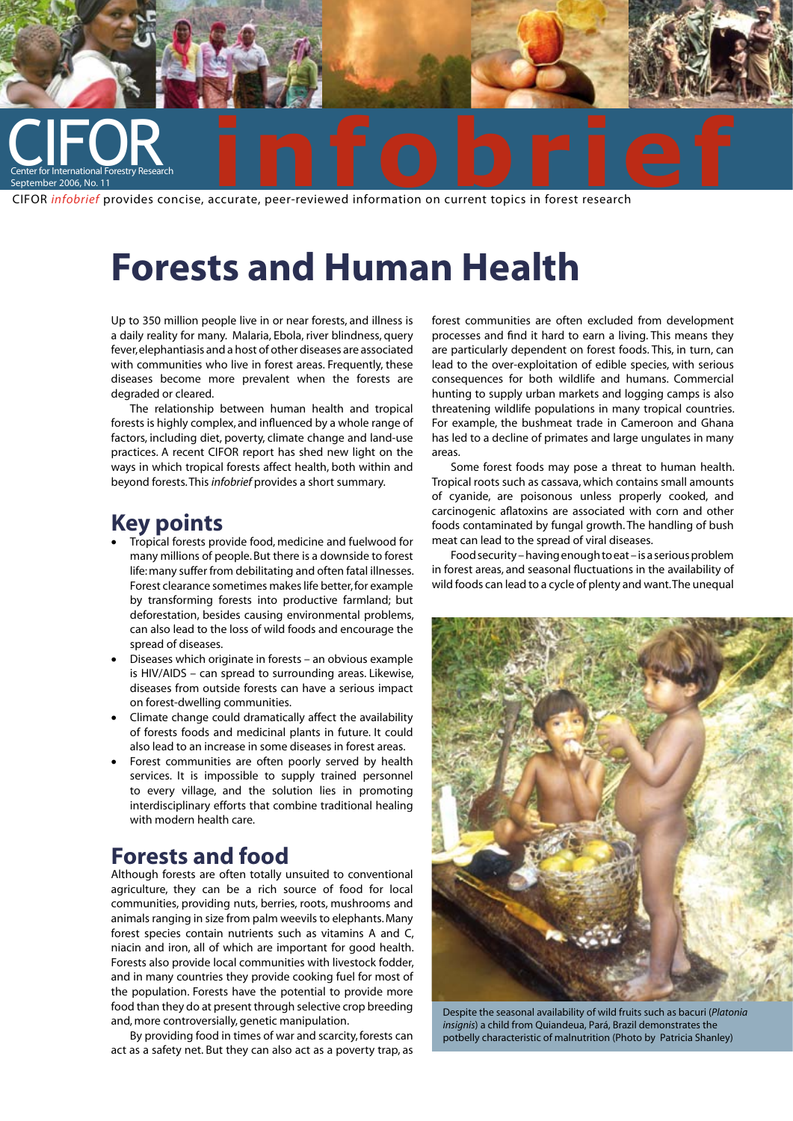

# **Forests and Human Health**

Up to 350 million people live in or near forests, and illness is a daily reality for many. Malaria, Ebola, river blindness, query fever, elephantiasis and a host of other diseases are associated with communities who live in forest areas. Frequently, these diseases become more prevalent when the forests are degraded or cleared.

The relationship between human health and tropical forests is highly complex, and influenced by a whole range of factors, including diet, poverty, climate change and land-use practices. A recent CIFOR report has shed new light on the ways in which tropical forests affect health, both within and beyond forests. This *infobrief* provides a short summary.

## **Key points**

- Tropical forests provide food, medicine and fuelwood for many millions of people. But there is a downside to forest life: many suffer from debilitating and often fatal illnesses. Forest clearance sometimes makes life better, for example by transforming forests into productive farmland; but deforestation, besides causing environmental problems, can also lead to the loss of wild foods and encourage the spread of diseases.
- Diseases which originate in forests an obvious example is HIV/AIDS – can spread to surrounding areas. Likewise, diseases from outside forests can have a serious impact on forest-dwelling communities.
- Climate change could dramatically affect the availability of forests foods and medicinal plants in future. It could also lead to an increase in some diseases in forest areas.
- Forest communities are often poorly served by health services. It is impossible to supply trained personnel to every village, and the solution lies in promoting interdisciplinary efforts that combine traditional healing with modern health care.

# **Forests and food**

Although forests are often totally unsuited to conventional agriculture, they can be a rich source of food for local communities, providing nuts, berries, roots, mushrooms and animals ranging in size from palm weevils to elephants. Many forest species contain nutrients such as vitamins A and C, niacin and iron, all of which are important for good health. Forests also provide local communities with livestock fodder, and in many countries they provide cooking fuel for most of the population. Forests have the potential to provide more food than they do at present through selective crop breeding and, more controversially, genetic manipulation.

By providing food in times of war and scarcity, forests can act as a safety net. But they can also act as a poverty trap, as forest communities are often excluded from development processes and find it hard to earn a living. This means they are particularly dependent on forest foods. This, in turn, can lead to the over-exploitation of edible species, with serious consequences for both wildlife and humans. Commercial hunting to supply urban markets and logging camps is also threatening wildlife populations in many tropical countries. For example, the bushmeat trade in Cameroon and Ghana has led to a decline of primates and large ungulates in many areas.

Some forest foods may pose a threat to human health. Tropical roots such as cassava, which contains small amounts of cyanide, are poisonous unless properly cooked, and carcinogenic aflatoxins are associated with corn and other foods contaminated by fungal growth. The handling of bush meat can lead to the spread of viral diseases.

Food security – having enough to eat – is a serious problem in forest areas, and seasonal fluctuations in the availability of wild foods can lead to a cycle of plenty and want. The unequal



Despite the seasonal availability of wild fruits such as bacuri (*Platonia insignis*) a child from Quiandeua, Pará, Brazil demonstrates the potbelly characteristic of malnutrition (Photo by Patricia Shanley)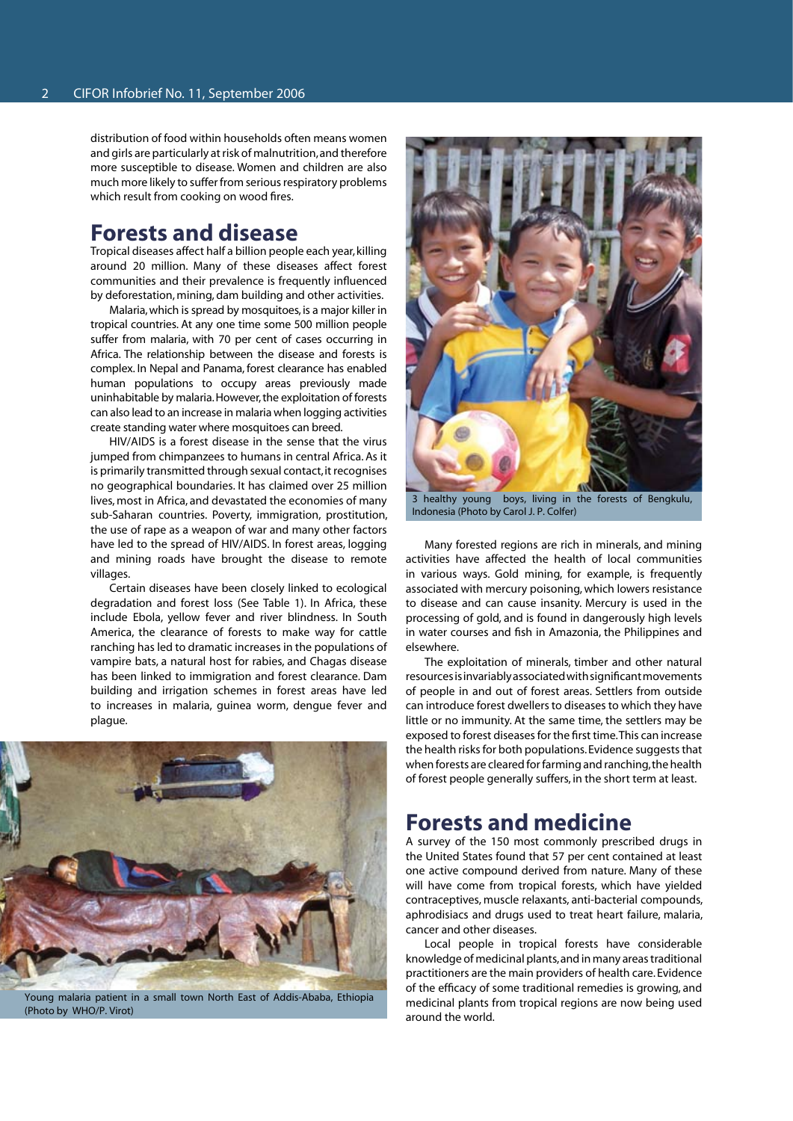distribution of food within households often means women and girls are particularly at risk of malnutrition, and therefore more susceptible to disease. Women and children are also much more likely to suffer from serious respiratory problems which result from cooking on wood fires.

#### **Forests and disease**

Tropical diseases affect half a billion people each year, killing around 20 million. Many of these diseases affect forest communities and their prevalence is frequently influenced by deforestation, mining, dam building and other activities.

Malaria, which is spread by mosquitoes, is a major killer in tropical countries. At any one time some 500 million people suffer from malaria, with 70 per cent of cases occurring in Africa. The relationship between the disease and forests is complex. In Nepal and Panama, forest clearance has enabled human populations to occupy areas previously made uninhabitable by malaria. However, the exploitation of forests can also lead to an increase in malaria when logging activities create standing water where mosquitoes can breed.

HIV/AIDS is a forest disease in the sense that the virus jumped from chimpanzees to humans in central Africa. As it is primarily transmitted through sexual contact, it recognises no geographical boundaries. It has claimed over 25 million lives, most in Africa, and devastated the economies of many sub-Saharan countries. Poverty, immigration, prostitution, the use of rape as a weapon of war and many other factors have led to the spread of HIV/AIDS. In forest areas, logging and mining roads have brought the disease to remote villages.

Certain diseases have been closely linked to ecological degradation and forest loss (See Table 1). In Africa, these include Ebola, yellow fever and river blindness. In South America, the clearance of forests to make way for cattle ranching has led to dramatic increases in the populations of vampire bats, a natural host for rabies, and Chagas disease has been linked to immigration and forest clearance. Dam building and irrigation schemes in forest areas have led to increases in malaria, guinea worm, dengue fever and plague.



Young malaria patient in a small town North East of Addis-Ababa, Ethiopia (Photo by WHO/P. Virot)



3 healthy young boys, living in the forests of Bengkulu, Indonesia (Photo by Carol J. P. Colfer)

Many forested regions are rich in minerals, and mining activities have affected the health of local communities in various ways. Gold mining, for example, is frequently associated with mercury poisoning, which lowers resistance to disease and can cause insanity. Mercury is used in the processing of gold, and is found in dangerously high levels in water courses and fish in Amazonia, the Philippines and elsewhere.

The exploitation of minerals, timber and other natural resources is invariably associated with significant movements of people in and out of forest areas. Settlers from outside can introduce forest dwellers to diseases to which they have little or no immunity. At the same time, the settlers may be exposed to forest diseases for the first time. This can increase the health risks for both populations. Evidence suggests that when forests are cleared for farming and ranching, the health of forest people generally suffers, in the short term at least.

#### **Forests and medicine**

A survey of the 150 most commonly prescribed drugs in the United States found that 57 per cent contained at least one active compound derived from nature. Many of these will have come from tropical forests, which have yielded contraceptives, muscle relaxants, anti-bacterial compounds, aphrodisiacs and drugs used to treat heart failure, malaria, cancer and other diseases.

Local people in tropical forests have considerable knowledge of medicinal plants, and in many areas traditional practitioners are the main providers of health care. Evidence of the efficacy of some traditional remedies is growing, and medicinal plants from tropical regions are now being used around the world.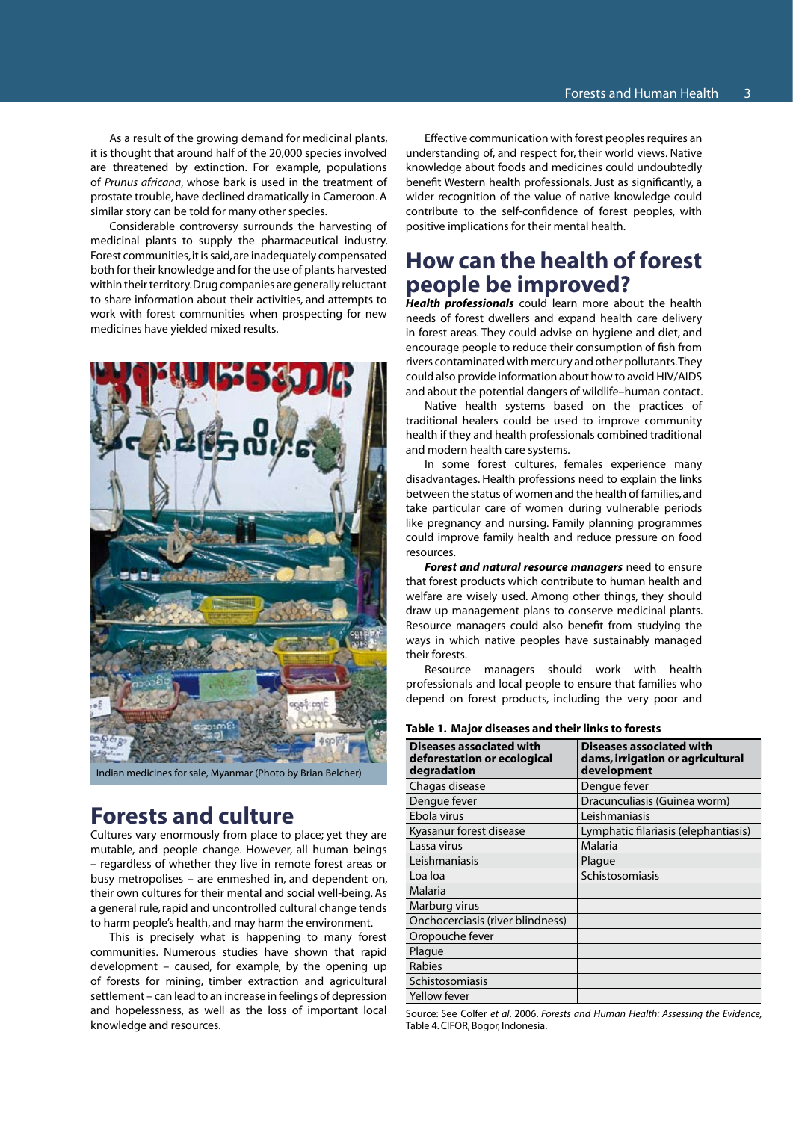As a result of the growing demand for medicinal plants, it is thought that around half of the 20,000 species involved are threatened by extinction. For example, populations of *Prunus africana*, whose bark is used in the treatment of prostate trouble, have declined dramatically in Cameroon. A similar story can be told for many other species.

Considerable controversy surrounds the harvesting of medicinal plants to supply the pharmaceutical industry. Forest communities, it is said, are inadequately compensated both for their knowledge and for the use of plants harvested within their territory. Drug companies are generally reluctant to share information about their activities, and attempts to work with forest communities when prospecting for new medicines have yielded mixed results.



Indian medicines for sale, Myanmar (Photo by Brian Belcher)

### **Forests and culture**

Cultures vary enormously from place to place; yet they are mutable, and people change. However, all human beings – regardless of whether they live in remote forest areas or busy metropolises – are enmeshed in, and dependent on, their own cultures for their mental and social well-being. As a general rule, rapid and uncontrolled cultural change tends to harm people's health, and may harm the environment.

This is precisely what is happening to many forest communities. Numerous studies have shown that rapid development – caused, for example, by the opening up of forests for mining, timber extraction and agricultural settlement – can lead to an increase in feelings of depression and hopelessness, as well as the loss of important local knowledge and resources.

Effective communication with forest peoples requires an understanding of, and respect for, their world views. Native knowledge about foods and medicines could undoubtedly benefit Western health professionals. Just as significantly, a wider recognition of the value of native knowledge could contribute to the self-confidence of forest peoples, with positive implications for their mental health.

# **How can the health of forest people be improved?**

*Health professionals* could learn more about the health needs of forest dwellers and expand health care delivery in forest areas. They could advise on hygiene and diet, and encourage people to reduce their consumption of fish from rivers contaminated with mercury and other pollutants. They could also provide information about how to avoid HIV/AIDS and about the potential dangers of wildlife–human contact.

Native health systems based on the practices of traditional healers could be used to improve community health if they and health professionals combined traditional and modern health care systems.

In some forest cultures, females experience many disadvantages. Health professions need to explain the links between the status of women and the health of families, and take particular care of women during vulnerable periods like pregnancy and nursing. Family planning programmes could improve family health and reduce pressure on food resources.

*Forest and natural resource managers* need to ensure that forest products which contribute to human health and welfare are wisely used. Among other things, they should draw up management plans to conserve medicinal plants. Resource managers could also benefit from studying the ways in which native peoples have sustainably managed their forests.

Resource managers should work with health professionals and local people to ensure that families who depend on forest products, including the very poor and

| נוסור וי ויוסוטו מואכסאכא מווע נווכוו וווווגא נט וטופאנא                      |                                                                             |
|-------------------------------------------------------------------------------|-----------------------------------------------------------------------------|
| <b>Diseases associated with</b><br>deforestation or ecological<br>degradation | Diseases associated with<br>dams, irrigation or agricultural<br>development |
| Chagas disease                                                                | Dengue fever                                                                |
| Dengue fever                                                                  | Dracunculiasis (Guinea worm)                                                |
| Ebola virus                                                                   | Leishmaniasis                                                               |
| Kyasanur forest disease                                                       | Lymphatic filariasis (elephantiasis)                                        |
| Lassa virus                                                                   | <b>Malaria</b>                                                              |
| Leishmaniasis                                                                 | Plague                                                                      |
| Loa loa                                                                       | Schistosomiasis                                                             |
| Malaria                                                                       |                                                                             |
| Marburg virus                                                                 |                                                                             |
| Onchocerciasis (river blindness)                                              |                                                                             |
| Oropouche fever                                                               |                                                                             |
| Plague                                                                        |                                                                             |
| Rabies                                                                        |                                                                             |
| Schistosomiasis                                                               |                                                                             |
| <b>Yellow fever</b>                                                           |                                                                             |
|                                                                               |                                                                             |

**Table 1. Major diseases and their links to forests**

Source: See Colfer *et al*. 2006. *Forests and Human Health: Assessing the Evidence,*  Table 4. CIFOR, Bogor, Indonesia.